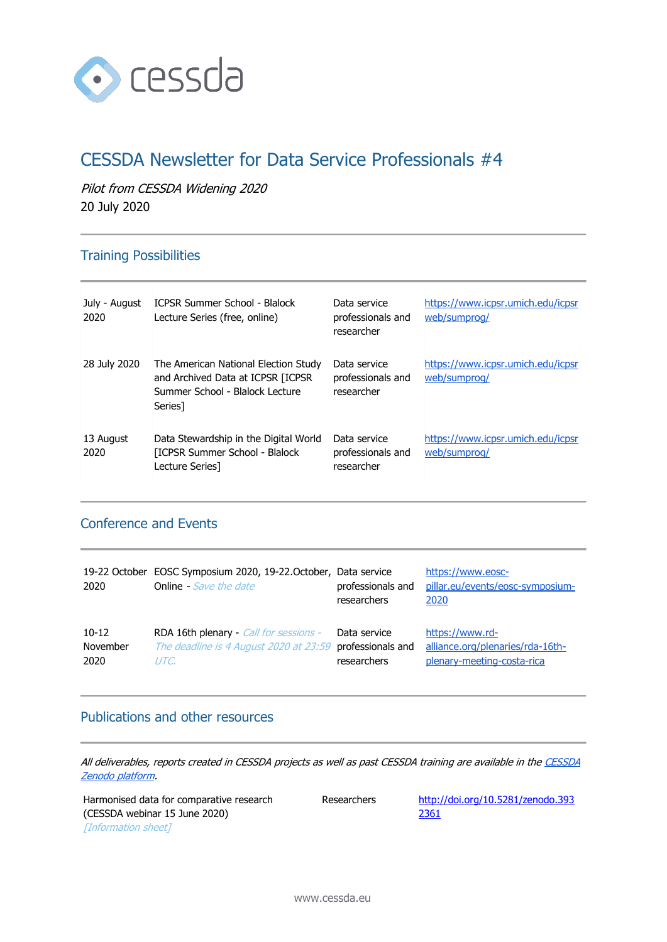

# CESSDA Newsletter for Data Service Professionals #4

Pilot from CESSDA Widening 2020 20 July 2020

### Training Possibilities

| July - August<br>2020 | <b>ICPSR Summer School - Blalock</b><br>Lecture Series (free, online)                                                               | Data service<br>professionals and<br>researcher | https://www.icpsr.umich.edu/icpsr<br>web/sumprog/ |
|-----------------------|-------------------------------------------------------------------------------------------------------------------------------------|-------------------------------------------------|---------------------------------------------------|
| 28 July 2020          | The American National Election Study<br>and Archived Data at ICPSR [ICPSR<br>Summer School - Blalock Lecture<br>Series <sub>1</sub> | Data service<br>professionals and<br>researcher | https://www.icpsr.umich.edu/icpsr<br>web/sumprog/ |
| 13 August<br>2020     | Data Stewardship in the Digital World<br>[ICPSR Summer School - Blalock]<br>Lecture Series]                                         | Data service<br>professionals and<br>researcher | https://www.icpsr.umich.edu/icpsr<br>web/sumprog/ |

#### Conference and Events

| 19-22 October<br>2020 | EOSC Symposium 2020, 19-22. October, Data service<br><b>Online</b> - Save the date | professionals and<br>researchers | https://www.eosc-<br>pillar.eu/events/eosc-symposium-<br>2020 |
|-----------------------|------------------------------------------------------------------------------------|----------------------------------|---------------------------------------------------------------|
| $10-12$               | RDA 16th plenary - Call for sessions -                                             | Data service                     | https://www.rd-                                               |
| November              | The deadline is 4 August 2020 at 23:59                                             | professionals and                | alliance.org/plenaries/rda-16th-                              |
| 2020                  | UTC.                                                                               | researchers                      | plenary-meeting-costa-rica                                    |

#### Publications and other resources

All deliverables, reports created in CESSDA projects as well as past CESSDA training are available in the CESSDA [Zenodo platform.](https://zenodo.org/communities/cessda/)

Harmonised data for comparative research (CESSDA webinar 15 June 2020) [Information sheet]

Researchers [http://doi.org/10.5281/zenodo.393](http://doi.org/10.5281/zenodo.3932361) [2361](http://doi.org/10.5281/zenodo.3932361)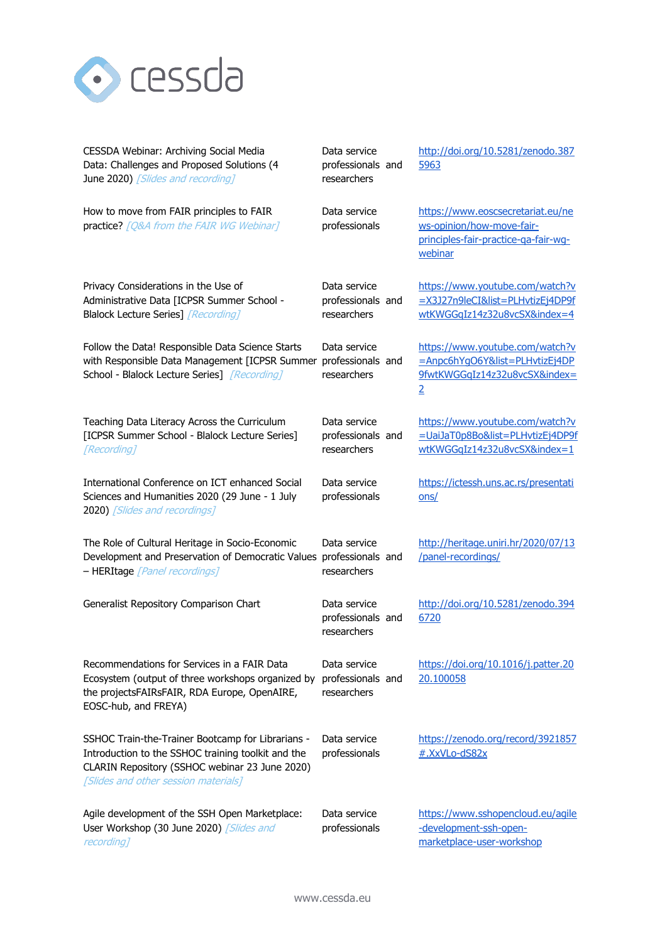

| CESSDA Webinar: Archiving Social Media<br>Data: Challenges and Proposed Solutions (4<br>June 2020) [Slides and recording]                                                                         | Data service<br>professionals and<br>researchers | http://doi.org/10.5281/zenodo.387<br>5963                                                                            |
|---------------------------------------------------------------------------------------------------------------------------------------------------------------------------------------------------|--------------------------------------------------|----------------------------------------------------------------------------------------------------------------------|
| How to move from FAIR principles to FAIR<br>practice? [Q&A from the FAIR WG Webinar]                                                                                                              | Data service<br>professionals                    | https://www.eoscsecretariat.eu/ne<br>ws-opinion/how-move-fair-<br>principles-fair-practice-ga-fair-wg-<br>webinar    |
| Privacy Considerations in the Use of<br>Administrative Data [ICPSR Summer School -<br>Blalock Lecture Series] [Recording]                                                                         | Data service<br>professionals and<br>researchers | https://www.youtube.com/watch?v<br>=X3J27n9leCI&list=PLHvtizEj4DP9f<br>wtKWGGqIz14z32u8vcSX&index=4                  |
| Follow the Data! Responsible Data Science Starts<br>with Responsible Data Management [ICPSR Summer<br>School - Blalock Lecture Series] [Recording]                                                | Data service<br>professionals and<br>researchers | https://www.youtube.com/watch?v<br>=Anpc6hYqO6Y&list=PLHvtizEj4DP<br>9fwtKWGGqIz14z32u8vcSX&index=<br>$\overline{2}$ |
| Teaching Data Literacy Across the Curriculum<br>[ICPSR Summer School - Blalock Lecture Series]<br>[Recording]                                                                                     | Data service<br>professionals and<br>researchers | https://www.youtube.com/watch?v<br>=UaiJaT0p8Bo&list=PLHvtizEj4DP9f<br>wtKWGGqIz14z32u8vcSX&index=1                  |
| International Conference on ICT enhanced Social<br>Sciences and Humanities 2020 (29 June - 1 July<br>2020) [Slides and recordings]                                                                | Data service<br>professionals                    | https://ictessh.uns.ac.rs/presentati<br>ons/                                                                         |
| The Role of Cultural Heritage in Socio-Economic<br>Development and Preservation of Democratic Values professionals and<br>- HERItage [Panel recordings]                                           | Data service<br>researchers                      | http://heritage.uniri.hr/2020/07/13<br>/panel-recordings/                                                            |
| Generalist Repository Comparison Chart                                                                                                                                                            | Data service<br>professionals and<br>researchers | http://doi.org/10.5281/zenodo.394<br>6720                                                                            |
| Recommendations for Services in a FAIR Data<br>Ecosystem (output of three workshops organized by<br>the projectsFAIRsFAIR, RDA Europe, OpenAIRE,<br>EOSC-hub, and FREYA)                          | Data service<br>professionals and<br>researchers | https://doi.org/10.1016/j.patter.20<br>20.100058                                                                     |
| SSHOC Train-the-Trainer Bootcamp for Librarians -<br>Introduction to the SSHOC training toolkit and the<br>CLARIN Repository (SSHOC webinar 23 June 2020)<br>[Slides and other session materials] | Data service<br>professionals                    | https://zenodo.org/record/3921857<br>#.XxVLo-dS82x                                                                   |
| Agile development of the SSH Open Marketplace:<br>User Workshop (30 June 2020) [Slides and<br>recording]                                                                                          | Data service<br>professionals                    | https://www.sshopencloud.eu/agile<br>-development-ssh-open-<br>marketplace-user-workshop                             |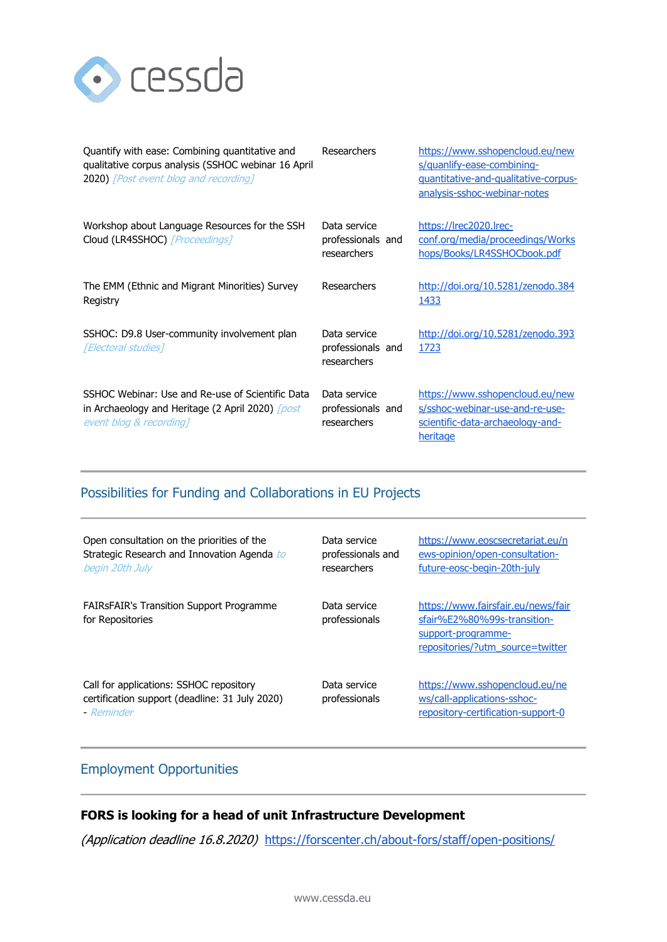

| Quantify with ease: Combining quantitative and<br>qualitative corpus analysis (SSHOC webinar 16 April<br><b>2020)</b> [Post event blog and recording] | Researchers                                      | https://www.sshopencloud.eu/new<br>s/quanlify-ease-combining-<br>guantitative-and-qualitative-corpus-<br>analysis-sshoc-webinar-notes |
|-------------------------------------------------------------------------------------------------------------------------------------------------------|--------------------------------------------------|---------------------------------------------------------------------------------------------------------------------------------------|
| Workshop about Language Resources for the SSH<br>Cloud (LR4SSHOC) [Proceedings]                                                                       | Data service<br>professionals and<br>researchers | https://lrec2020.lrec-<br>conf.org/media/proceedings/Works<br>hops/Books/LR4SSHOCbook.pdf                                             |
| The EMM (Ethnic and Migrant Minorities) Survey<br>Registry                                                                                            | Researchers                                      | http://doi.org/10.5281/zenodo.384<br>1433                                                                                             |
| SSHOC: D9.8 User-community involvement plan<br>[Electoral studies]                                                                                    | Data service<br>professionals and<br>researchers | http://doi.org/10.5281/zenodo.393<br>1723                                                                                             |
| SSHOC Webinar: Use and Re-use of Scientific Data<br>in Archaeology and Heritage (2 April 2020) <i>[post</i><br>event blog & recording]                | Data service<br>professionals and<br>researchers | https://www.sshopencloud.eu/new<br>s/sshoc-webinar-use-and-re-use-<br>scientific-data-archaeology-and-<br>heritage                    |

### Possibilities for Funding and Collaborations in EU Projects

| Open consultation on the priorities of the<br>Strategic Research and Innovation Agenda to<br>begin 20th July | Data service<br>professionals and<br>researchers | https://www.eoscsecretariat.eu/n<br>ews-opinion/open-consultation-<br>future-eosc-begin-20th-july                           |
|--------------------------------------------------------------------------------------------------------------|--------------------------------------------------|-----------------------------------------------------------------------------------------------------------------------------|
| <b>FAIRSFAIR's Transition Support Programme</b><br>for Repositories                                          | Data service<br>professionals                    | https://www.fairsfair.eu/news/fair<br>sfair%E2%80%99s-transition-<br>support-programme-<br>repositories/?utm_source=twitter |
| Call for applications: SSHOC repository<br>certification support (deadline: 31 July 2020)<br>- Reminder      | Data service<br>professionals                    | https://www.sshopencloud.eu/ne<br>ws/call-applications-sshoc-<br>repository-certification-support-0                         |

### Employment Opportunities

### **FORS is looking for a head of unit Infrastructure Development**

(Application deadline 16.8.2020) <https://forscenter.ch/about-fors/staff/open-positions/>